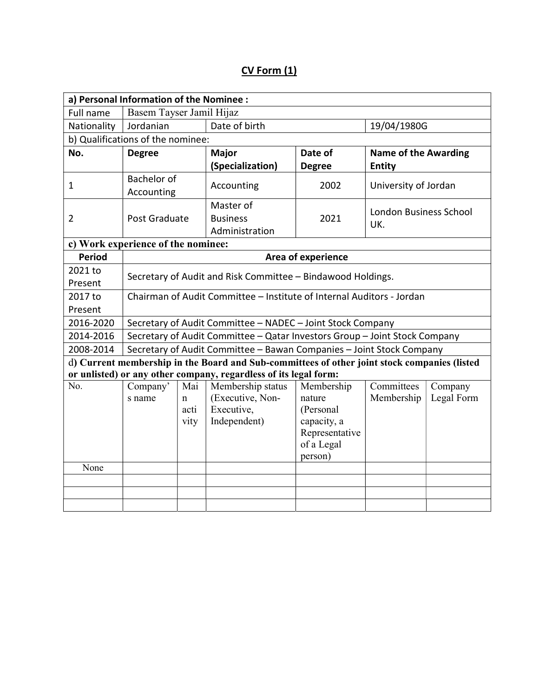## CV Form (1)

|                                    | a) Personal Information of the Nominee :                                   |              |                                                                                              |                          |                               |            |  |  |  |  |  |
|------------------------------------|----------------------------------------------------------------------------|--------------|----------------------------------------------------------------------------------------------|--------------------------|-------------------------------|------------|--|--|--|--|--|
| Full name                          | Basem Tayser Jamil Hijaz                                                   |              |                                                                                              |                          |                               |            |  |  |  |  |  |
| Nationality                        | Jordanian                                                                  |              | Date of birth                                                                                |                          | 19/04/1980G                   |            |  |  |  |  |  |
| b) Qualifications of the nominee:  |                                                                            |              |                                                                                              |                          |                               |            |  |  |  |  |  |
| No.                                | <b>Degree</b>                                                              |              | <b>Major</b>                                                                                 | Date of                  | <b>Name of the Awarding</b>   |            |  |  |  |  |  |
|                                    |                                                                            |              | (Specialization)                                                                             | <b>Degree</b>            | <b>Entity</b>                 |            |  |  |  |  |  |
| $\mathbf{1}$                       | <b>Bachelor of</b><br>Accounting                                           |              | Accounting                                                                                   | 2002                     | University of Jordan          |            |  |  |  |  |  |
| $\overline{2}$                     | Post Graduate                                                              |              | Master of<br><b>Business</b><br>Administration                                               | 2021                     | London Business School<br>UK. |            |  |  |  |  |  |
| c) Work experience of the nominee: |                                                                            |              |                                                                                              |                          |                               |            |  |  |  |  |  |
| <b>Period</b>                      | Area of experience                                                         |              |                                                                                              |                          |                               |            |  |  |  |  |  |
| 2021 to                            |                                                                            |              |                                                                                              |                          |                               |            |  |  |  |  |  |
| Present                            | Secretary of Audit and Risk Committee - Bindawood Holdings.                |              |                                                                                              |                          |                               |            |  |  |  |  |  |
| 2017 to                            | Chairman of Audit Committee - Institute of Internal Auditors - Jordan      |              |                                                                                              |                          |                               |            |  |  |  |  |  |
| Present                            |                                                                            |              |                                                                                              |                          |                               |            |  |  |  |  |  |
| 2016-2020                          | Secretary of Audit Committee - NADEC - Joint Stock Company                 |              |                                                                                              |                          |                               |            |  |  |  |  |  |
| 2014-2016                          | Secretary of Audit Committee - Qatar Investors Group - Joint Stock Company |              |                                                                                              |                          |                               |            |  |  |  |  |  |
| 2008-2014                          | Secretary of Audit Committee - Bawan Companies - Joint Stock Company       |              |                                                                                              |                          |                               |            |  |  |  |  |  |
|                                    |                                                                            |              | d) Current membership in the Board and Sub-committees of other joint stock companies (listed |                          |                               |            |  |  |  |  |  |
|                                    |                                                                            |              | or unlisted) or any other company, regardless of its legal form:                             |                          |                               |            |  |  |  |  |  |
| No.                                | Company'                                                                   | Mai          | Membership status                                                                            | Membership               | Committees                    | Company    |  |  |  |  |  |
|                                    | s name                                                                     | $\mathbf n$  | (Executive, Non-                                                                             | nature                   | Membership                    | Legal Form |  |  |  |  |  |
|                                    |                                                                            | acti<br>vity | Executive,<br>Independent)                                                                   | (Personal<br>capacity, a |                               |            |  |  |  |  |  |
|                                    |                                                                            |              |                                                                                              | Representative           |                               |            |  |  |  |  |  |
|                                    |                                                                            |              |                                                                                              | of a Legal               |                               |            |  |  |  |  |  |
|                                    |                                                                            |              |                                                                                              | person)                  |                               |            |  |  |  |  |  |
| None                               |                                                                            |              |                                                                                              |                          |                               |            |  |  |  |  |  |
|                                    |                                                                            |              |                                                                                              |                          |                               |            |  |  |  |  |  |
|                                    |                                                                            |              |                                                                                              |                          |                               |            |  |  |  |  |  |
|                                    |                                                                            |              |                                                                                              |                          |                               |            |  |  |  |  |  |